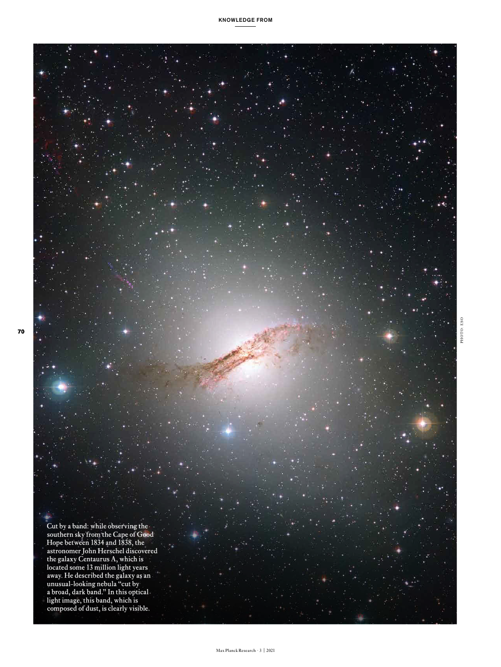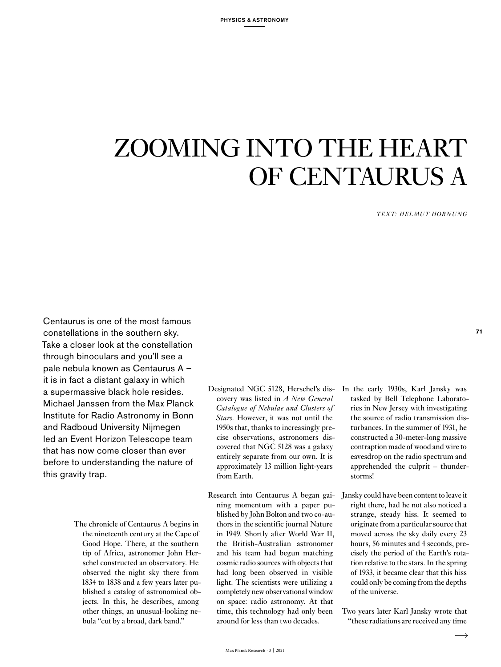## ZOOMING INTO THE HEART OF CENTAURUS A

*TEXT: HELMUT HORNUNG*

Centaurus is one of the most famous constellations in the southern sky. Take a closer look at the constellation through binoculars and you'll see a pale nebula known as Centaurus A – it is in fact a distant galaxy in which a supermassive black hole resides. Michael Janssen from the Max Planck Institute for Radio Astronomy in Bonn and Radboud University Nijmegen led an Event Horizon Telescope team that has now come closer than ever before to understanding the nature of this gravity trap.

- The chronicle of Centaurus A begins in the nineteenth century at the Cape of Good Hope. There, at the southern tip of Africa, astronomer John Herschel constructed an observatory. He observed the night sky there from 1834 to 1838 and a few years later published a catalog of astronomical objects. In this, he describes, among other things, an unusual-looking nebula "cut by a broad, dark band."
- Designated NGC 5128, Herschel's discovery was listed in *A New General Catalogue of Nebulae and Clusters of Stars.* However, it was not until the 1950s that, thanks to increasingly precise observations, astronomers discovered that NGC 5128 was a galaxy entirely separate from our own. It is approximately 13 million light-years from Earth.
- Research into Centaurus A began gaining momentum with a paper published by John Bolton and two co-authors in the scientific journal Nature in 1949. Shortly after World War II, the British-Australian astronomer and his team had begun matching cosmic radio sources with objects that had long been observed in visible light. The scientists were utilizing a completely new observational window on space: radio astronomy. At that time, this technology had only been around for less than two decades.
- In the early 1930s, Karl Jansky was tasked by Bell Telephone Laboratories in New Jersey with investigating the source of radio transmission disturbances. In the summer of 1931, he constructed a 30-meter-long massive contraption made of wood and wire to eavesdrop on the radio spectrum and apprehended the culprit – thunderstorms!
- Jansky could have been content to leave it right there, had he not also noticed a strange, steady hiss. It seemed to originate from a particular source that moved across the sky daily every 23 hours, 56 minutes and 4 seconds, precisely the period of the Earth's rotation relative to the stars. In the spring of 1933, it became clear that this hiss could only be coming from the depths of the universe.
- Two years later Karl Jansky wrote that "these radiations are received any time

**71**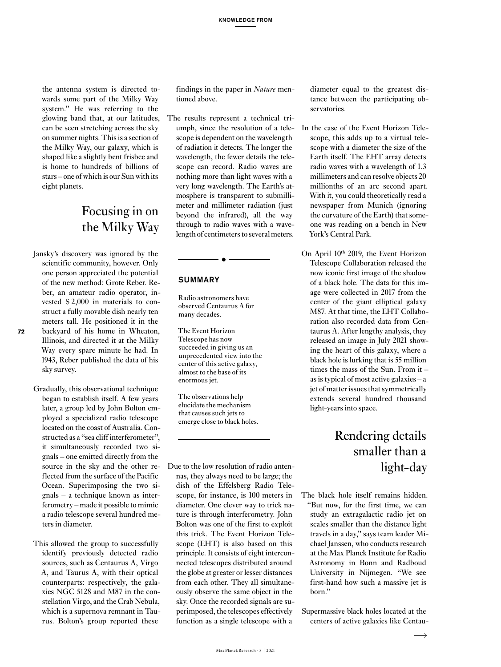the antenna system is directed towards some part of the Milky Way system." He was referring to the glowing band that, at our latitudes, can be seen stretching across the sky on summer nights. This is a section of the Milky Way, our galaxy, which is shaped like a slightly bent frisbee and is home to hundreds of billions of stars – one of which is our Sun with its eight planets.

#### Focusing in on the Milky Way

Jansky's discovery was ignored by the scientific community, however. Only one person appreciated the potential of the new method: Grote Reber. Reber, an amateur radio operator, invested \$ 2,000 in materials to construct a fully movable dish nearly ten meters tall. He positioned it in the backyard of his home in Wheaton, Illinois, and directed it at the Milky Way every spare minute he had. In 1943, Reber published the data of his sky survey.

**72**

- Gradually, this observational technique began to establish itself. A few years later, a group led by John Bolton employed a specialized radio telescope located on the coast of Australia. Constructed as a "sea cliff interferometer", it simultaneously recorded two signals – one emitted directly from the source in the sky and the other reflected from the surface of the Pacific Ocean. Superimposing the two signals – a technique known as interferometry – made it possible to mimic a radio telescope several hundred meters in diameter.
- This allowed the group to successfully identify previously detected radio sources, such as Centaurus A, Virgo A, and Taurus A, with their optical counterparts: respectively, the galaxies NGC 5128 and M87 in the constellation Virgo, and the Crab Nebula, which is a supernova remnant in Taurus. Bolton's group reported these

findings in the paper in *Nature* mentioned above.

The results represent a technical triumph, since the resolution of a telescope is dependent on the wavelength of radiation it detects. The longer the wavelength, the fewer details the telescope can record. Radio waves are nothing more than light waves with a very long wavelength. The Earth's atmosphere is transparent to submillimeter and millimeter radiation (just beyond the infrared), all the way through to radio waves with a wavelength of centimeters to several meters.

#### SUMMARY

Radio astronomers have observed Centaurus A for many decades.

 $\bullet$   $-$ 

The Event Horizon Telescope has now succeeded in giving us an unprecedented view into the center of this active galaxy, almost to the base of its enormous jet.

The observations help elucidate the mechanism that causes such jets to emerge close to black holes.

Due to the low resolution of radio antennas, they always need to be large; the dish of the Effelsberg Radio Telescope, for instance, is 100 meters in diameter. One clever way to trick nature is through interferometry. John Bolton was one of the first to exploit this trick. The Event Horizon Telescope (EHT) is also based on this principle. It consists of eight interconnected telescopes distributed around the globe at greater or lesser distances from each other. They all simultaneously observe the same object in the sky. Once the recorded signals are superimposed, the telescopes effectively function as a single telescope with a

diameter equal to the greatest distance between the participating observatories.

- In the case of the Event Horizon Telescope, this adds up to a virtual telescope with a diameter the size of the Earth itself. The EHT array detects radio waves with a wavelength of 1.3 millimeters and can resolve objects 20 millionths of an arc second apart. With it, you could theoretically read a newspaper from Munich (ignoring the curvature of the Earth) that someone was reading on a bench in New York's Central Park.
- On April 10<sup>th</sup> 2019, the Event Horizon Telescope Collaboration released the now iconic first image of the shadow of a black hole. The data for this image were collected in 2017 from the center of the giant elliptical galaxy M87. At that time, the EHT Collaboration also recorded data from Centaurus A. After lengthy analysis, they released an image in July 2021 showing the heart of this galaxy, where a black hole is lurking that is 55 million times the mass of the Sun. From it – as is typical of most active galaxies – a jet of matter issues that symmetrically extends several hundred thousand light-years into space.

### Rendering details smaller than a light-day

- The black hole itself remains hidden. "But now, for the first time, we can study an extragalactic radio jet on scales smaller than the distance light travels in a day," says team leader Michael Janssen, who conducts research at the Max Planck Institute for Radio Astronomy in Bonn and Radboud University in Nijmegen. "We see first-hand how such a massive jet is born."
- Supermassive black holes located at the centers of active galaxies like Centau-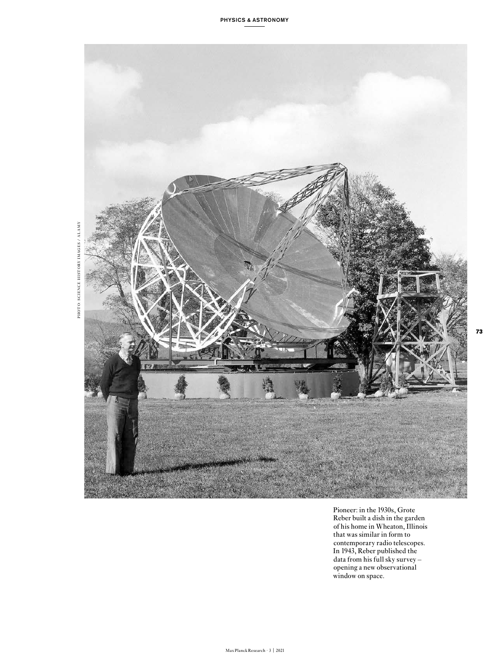

Pioneer: in the 1930s, Grote Reber built a dish in the garden of his home in Wheaton, Illinois that was similar in form to contemporary radio telescopes. In 1943, Reber published the data from his full sky survey – opening a new observational window on space.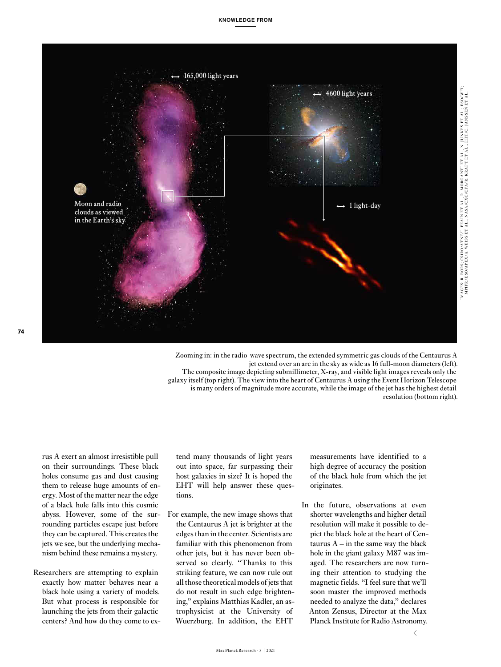

Zooming in: in the radio-wave spectrum, the extended symmetric gas clouds of the Centaurus A jet extend over an arc in the sky as wide as 16 full-moon diameters (left). The composite image depicting submillimeter, X-ray, and visible light images reveals only the galaxy itself (top right). The view into the heart of Centaurus A using the Event Horizon Telescope is many orders of magnitude more accurate, while the image of the jet has the highest detail resolution (bottom right).

rus A exert an almost irresistible pull on their surroundings. These black holes consume gas and dust causing them to release huge amounts of energy. Most of the matter near the edge of a black hole falls into this cosmic abyss. However, some of the surrounding particles escape just before they can be captured. This creates the jets we see, but the underlying mechanism behind these remains a mystery.

Researchers are attempting to explain exactly how matter behaves near a black hole using a variety of models. But what process is responsible for launching the jets from their galactic centers? And how do they come to extend many thousands of light years out into space, far surpassing their host galaxies in size? It is hoped the EHT will help answer these questions.

For example, the new image shows that the Centaurus A jet is brighter at the edges than in the center. Scientists are familiar with this phenomenon from other jets, but it has never been observed so clearly. "Thanks to this striking feature, we can now rule out all those theoretical models of jets that do not result in such edge brightening," explains Matthias Kadler, an astrophysicist at the University of Wuerzburg. In addition, the EHT

measurements have identified to a high degree of accuracy the position of the black hole from which the jet originates.

In the future, observations at even shorter wavelengths and higher detail resolution will make it possible to depict the black hole at the heart of Centaurus  $A - in$  the same way the black hole in the giant galaxy M87 was imaged. The researchers are now turning their attention to studying the magnetic fields. "I feel sure that we'll soon master the improved methods needed to analyze the data," declares Anton Zensus, Director at the Max Planck Institute for Radio Astronomy.